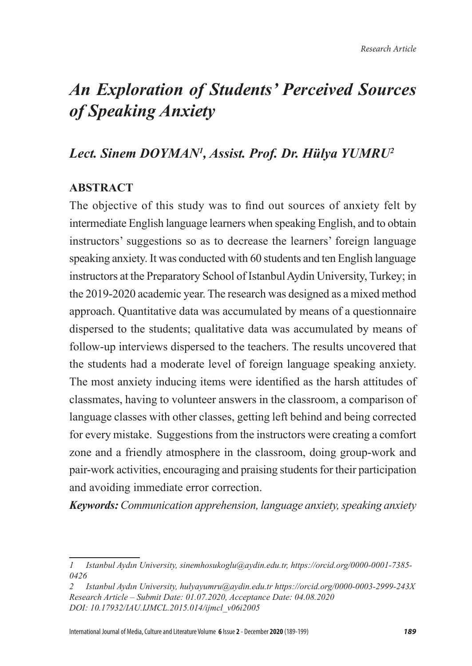# *An Exploration of Students' Perceived Sources of Speaking Anxiety*

### *Lect. Sinem DOYMAN<sup>1</sup> , Assist. Prof. Dr. Hülya YUMRU<sup>2</sup>*

### **ABSTRACT**

The objective of this study was to find out sources of anxiety felt by intermediate English language learners when speaking English, and to obtain instructors' suggestions so as to decrease the learners' foreign language speaking anxiety. It was conducted with 60 students and ten English language instructors at the Preparatory School of Istanbul Aydin University, Turkey; in the 2019-2020 academic year. The research was designed as a mixed method approach. Quantitative data was accumulated by means of a questionnaire dispersed to the students; qualitative data was accumulated by means of follow-up interviews dispersed to the teachers. The results uncovered that the students had a moderate level of foreign language speaking anxiety. The most anxiety inducing items were identified as the harsh attitudes of classmates, having to volunteer answers in the classroom, a comparison of language classes with other classes, getting left behind and being corrected for every mistake. Suggestions from the instructors were creating a comfort zone and a friendly atmosphere in the classroom, doing group-work and pair-work activities, encouraging and praising students for their participation and avoiding immediate error correction.

*Keywords: Communication apprehension, language anxiety, speaking anxiety*

*<sup>1</sup> Istanbul Aydın University, sinemhosukoglu@aydin.edu.tr, https://orcid.org/0000-0001-7385- 0426*

*<sup>2</sup> Istanbul Aydın University, hulyayumru@aydin.edu.tr https://orcid.org/0000-0003-2999-243X Research Article – Submit Date: 01.07.2020, Acceptance Date: 04.08.2020 DOI: 10.17932/IAU.IJMCL.2015.014/ijmcl\_v06i2005*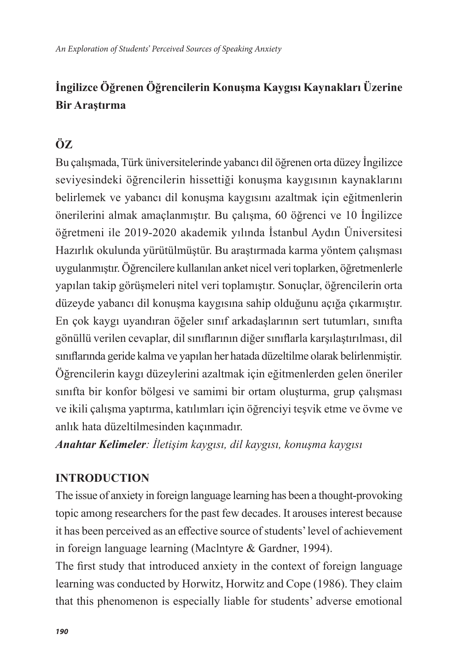## **İngilizce Öğrenen Öğrencilerin Konuşma Kaygısı Kaynakları Üzerine Bir Araştırma**

### **ÖZ**

Bu çalışmada, Türk üniversitelerinde yabancı dil öğrenen orta düzey İngilizce seviyesindeki öğrencilerin hissettiği konuşma kaygısının kaynaklarını belirlemek ve yabancı dil konuşma kaygısını azaltmak için eğitmenlerin önerilerini almak amaçlanmıştır. Bu çalışma, 60 öğrenci ve 10 İngilizce öğretmeni ile 2019-2020 akademik yılında İstanbul Aydın Üniversitesi Hazırlık okulunda yürütülmüştür. Bu araştırmada karma yöntem çalışması uygulanmıştır. Öğrencilere kullanılan anket nicel veri toplarken, öğretmenlerle yapılan takip görüşmeleri nitel veri toplamıştır. Sonuçlar, öğrencilerin orta düzeyde yabancı dil konuşma kaygısına sahip olduğunu açığa çıkarmıştır. En çok kaygı uyandıran öğeler sınıf arkadaşlarının sert tutumları, sınıfta gönüllü verilen cevaplar, dil sınıflarının diğer sınıflarla karşılaştırılması, dil sınıflarında geride kalma ve yapılan her hatada düzeltilme olarak belirlenmiştir. Öğrencilerin kaygı düzeylerini azaltmak için eğitmenlerden gelen öneriler sınıfta bir konfor bölgesi ve samimi bir ortam oluşturma, grup çalışması ve ikili çalışma yaptırma, katılımları için öğrenciyi teşvik etme ve övme ve anlık hata düzeltilmesinden kaçınmadır.

*Anahtar Kelimeler: İletişim kaygısı, dil kaygısı, konuşma kaygısı*

### **INTRODUCTION**

The issue of anxiety in foreign language learning has been a thought-provoking topic among researchers for the past few decades. It arouses interest because it has been perceived as an effective source of students' level of achievement in foreign language learning (Maclntyre & Gardner, 1994).

The first study that introduced anxiety in the context of foreign language learning was conducted by Horwitz, Horwitz and Cope (1986). They claim that this phenomenon is especially liable for students' adverse emotional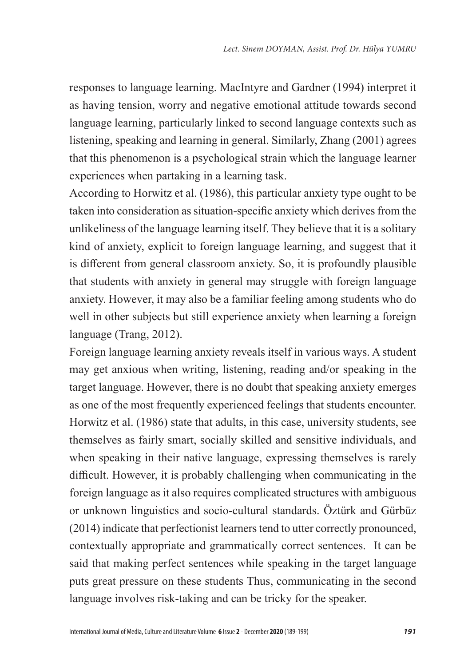responses to language learning. MacIntyre and Gardner (1994) interpret it as having tension, worry and negative emotional attitude towards second language learning, particularly linked to second language contexts such as listening, speaking and learning in general. Similarly, Zhang (2001) agrees that this phenomenon is a psychological strain which the language learner experiences when partaking in a learning task.

According to Horwitz et al. (1986), this particular anxiety type ought to be taken into consideration as situation-specific anxiety which derives from the unlikeliness of the language learning itself. They believe that it is a solitary kind of anxiety, explicit to foreign language learning, and suggest that it is different from general classroom anxiety. So, it is profoundly plausible that students with anxiety in general may struggle with foreign language anxiety. However, it may also be a familiar feeling among students who do well in other subjects but still experience anxiety when learning a foreign language (Trang, 2012).

Foreign language learning anxiety reveals itself in various ways. A student may get anxious when writing, listening, reading and/or speaking in the target language. However, there is no doubt that speaking anxiety emerges as one of the most frequently experienced feelings that students encounter. Horwitz et al. (1986) state that adults, in this case, university students, see themselves as fairly smart, socially skilled and sensitive individuals, and when speaking in their native language, expressing themselves is rarely difficult. However, it is probably challenging when communicating in the foreign language as it also requires complicated structures with ambiguous or unknown linguistics and socio-cultural standards. Öztürk and Gürbüz (2014) indicate that perfectionist learners tend to utter correctly pronounced, contextually appropriate and grammatically correct sentences. It can be said that making perfect sentences while speaking in the target language puts great pressure on these students Thus, communicating in the second language involves risk-taking and can be tricky for the speaker.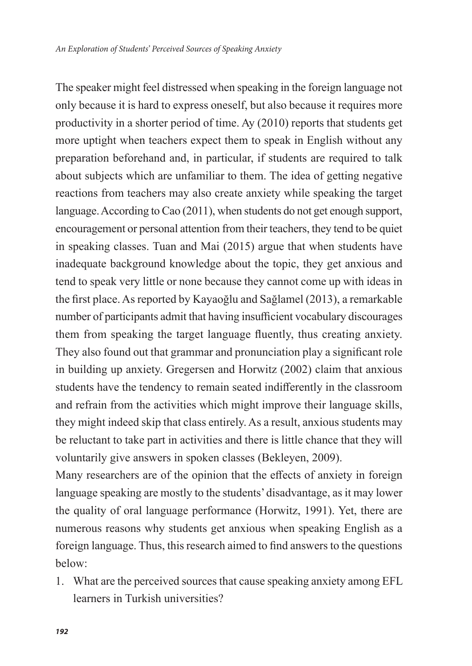The speaker might feel distressed when speaking in the foreign language not only because it is hard to express oneself, but also because it requires more productivity in a shorter period of time. Ay (2010) reports that students get more uptight when teachers expect them to speak in English without any preparation beforehand and, in particular, if students are required to talk about subjects which are unfamiliar to them. The idea of getting negative reactions from teachers may also create anxiety while speaking the target language. According to Cao (2011), when students do not get enough support, encouragement or personal attention from their teachers, they tend to be quiet in speaking classes. Tuan and Mai (2015) argue that when students have inadequate background knowledge about the topic, they get anxious and tend to speak very little or none because they cannot come up with ideas in the first place. As reported by Kayaoğlu and Sağlamel (2013), a remarkable number of participants admit that having insufficient vocabulary discourages them from speaking the target language fluently, thus creating anxiety. They also found out that grammar and pronunciation play a significant role in building up anxiety. Gregersen and Horwitz (2002) claim that anxious students have the tendency to remain seated indifferently in the classroom and refrain from the activities which might improve their language skills, they might indeed skip that class entirely. As a result, anxious students may be reluctant to take part in activities and there is little chance that they will voluntarily give answers in spoken classes (Bekleyen, 2009).

Many researchers are of the opinion that the effects of anxiety in foreign language speaking are mostly to the students' disadvantage, as it may lower the quality of oral language performance (Horwitz, 1991). Yet, there are numerous reasons why students get anxious when speaking English as a foreign language. Thus, this research aimed to find answers to the questions below:

1. What are the perceived sources that cause speaking anxiety among EFL learners in Turkish universities?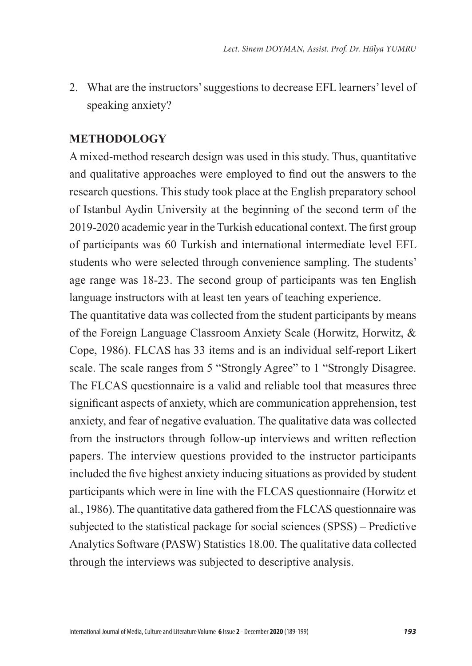2. What are the instructors' suggestions to decrease EFL learners' level of speaking anxiety?

#### **METHODOLOGY**

A mixed-method research design was used in this study. Thus, quantitative and qualitative approaches were employed to find out the answers to the research questions. This study took place at the English preparatory school of Istanbul Aydin University at the beginning of the second term of the 2019-2020 academic year in the Turkish educational context. The first group of participants was 60 Turkish and international intermediate level EFL students who were selected through convenience sampling. The students' age range was 18-23. The second group of participants was ten English language instructors with at least ten years of teaching experience.

The quantitative data was collected from the student participants by means of the Foreign Language Classroom Anxiety Scale (Horwitz, Horwitz, & Cope, 1986). FLCAS has 33 items and is an individual self-report Likert scale. The scale ranges from 5 "Strongly Agree" to 1 "Strongly Disagree. The FLCAS questionnaire is a valid and reliable tool that measures three significant aspects of anxiety, which are communication apprehension, test anxiety, and fear of negative evaluation. The qualitative data was collected from the instructors through follow-up interviews and written reflection papers. The interview questions provided to the instructor participants included the five highest anxiety inducing situations as provided by student participants which were in line with the FLCAS questionnaire (Horwitz et al., 1986). The quantitative data gathered from the FLCAS questionnaire was subjected to the statistical package for social sciences (SPSS) – Predictive Analytics Software (PASW) Statistics 18.00. The qualitative data collected through the interviews was subjected to descriptive analysis.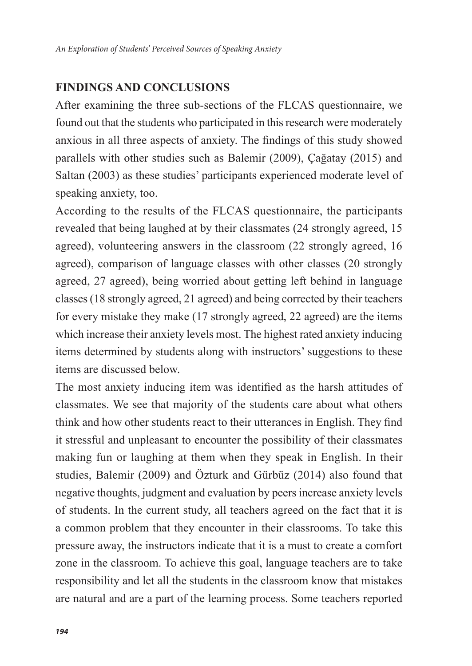#### **FINDINGS AND CONCLUSIONS**

After examining the three sub-sections of the FLCAS questionnaire, we found out that the students who participated in this research were moderately anxious in all three aspects of anxiety. The findings of this study showed parallels with other studies such as Balemir (2009), Çağatay (2015) and Saltan (2003) as these studies' participants experienced moderate level of speaking anxiety, too.

According to the results of the FLCAS questionnaire, the participants revealed that being laughed at by their classmates (24 strongly agreed, 15 agreed), volunteering answers in the classroom (22 strongly agreed, 16 agreed), comparison of language classes with other classes (20 strongly agreed, 27 agreed), being worried about getting left behind in language classes (18 strongly agreed, 21 agreed) and being corrected by their teachers for every mistake they make (17 strongly agreed, 22 agreed) are the items which increase their anxiety levels most. The highest rated anxiety inducing items determined by students along with instructors' suggestions to these items are discussed below.

The most anxiety inducing item was identified as the harsh attitudes of classmates. We see that majority of the students care about what others think and how other students react to their utterances in English. They find it stressful and unpleasant to encounter the possibility of their classmates making fun or laughing at them when they speak in English. In their studies, Balemir (2009) and Özturk and Gürbüz (2014) also found that negative thoughts, judgment and evaluation by peers increase anxiety levels of students. In the current study, all teachers agreed on the fact that it is a common problem that they encounter in their classrooms. To take this pressure away, the instructors indicate that it is a must to create a comfort zone in the classroom. To achieve this goal, language teachers are to take responsibility and let all the students in the classroom know that mistakes are natural and are a part of the learning process. Some teachers reported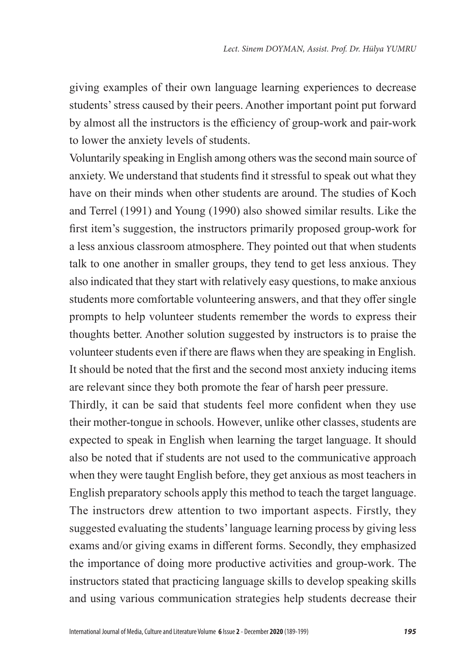giving examples of their own language learning experiences to decrease students' stress caused by their peers. Another important point put forward by almost all the instructors is the efficiency of group-work and pair-work to lower the anxiety levels of students.

Voluntarily speaking in English among others was the second main source of anxiety. We understand that students find it stressful to speak out what they have on their minds when other students are around. The studies of Koch and Terrel (1991) and Young (1990) also showed similar results. Like the first item's suggestion, the instructors primarily proposed group-work for a less anxious classroom atmosphere. They pointed out that when students talk to one another in smaller groups, they tend to get less anxious. They also indicated that they start with relatively easy questions, to make anxious students more comfortable volunteering answers, and that they offer single prompts to help volunteer students remember the words to express their thoughts better. Another solution suggested by instructors is to praise the volunteer students even if there are flaws when they are speaking in English. It should be noted that the first and the second most anxiety inducing items are relevant since they both promote the fear of harsh peer pressure.

Thirdly, it can be said that students feel more confident when they use their mother-tongue in schools. However, unlike other classes, students are expected to speak in English when learning the target language. It should also be noted that if students are not used to the communicative approach when they were taught English before, they get anxious as most teachers in English preparatory schools apply this method to teach the target language. The instructors drew attention to two important aspects. Firstly, they suggested evaluating the students' language learning process by giving less exams and/or giving exams in different forms. Secondly, they emphasized the importance of doing more productive activities and group-work. The instructors stated that practicing language skills to develop speaking skills and using various communication strategies help students decrease their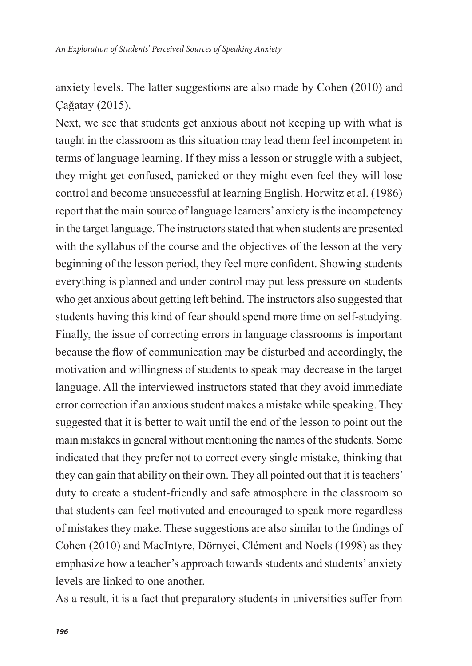anxiety levels. The latter suggestions are also made by Cohen (2010) and Çağatay (2015).

Next, we see that students get anxious about not keeping up with what is taught in the classroom as this situation may lead them feel incompetent in terms of language learning. If they miss a lesson or struggle with a subject, they might get confused, panicked or they might even feel they will lose control and become unsuccessful at learning English. Horwitz et al. (1986) report that the main source of language learners' anxiety is the incompetency in the target language. The instructors stated that when students are presented with the syllabus of the course and the objectives of the lesson at the very beginning of the lesson period, they feel more confident. Showing students everything is planned and under control may put less pressure on students who get anxious about getting left behind. The instructors also suggested that students having this kind of fear should spend more time on self-studying. Finally, the issue of correcting errors in language classrooms is important because the flow of communication may be disturbed and accordingly, the motivation and willingness of students to speak may decrease in the target language. All the interviewed instructors stated that they avoid immediate error correction if an anxious student makes a mistake while speaking. They suggested that it is better to wait until the end of the lesson to point out the main mistakes in general without mentioning the names of the students. Some indicated that they prefer not to correct every single mistake, thinking that they can gain that ability on their own. They all pointed out that it is teachers' duty to create a student-friendly and safe atmosphere in the classroom so that students can feel motivated and encouraged to speak more regardless of mistakes they make. These suggestions are also similar to the findings of Cohen (2010) and MacIntyre, Dörnyei, Clément and Noels (1998) as they emphasize how a teacher's approach towards students and students' anxiety levels are linked to one another.

As a result, it is a fact that preparatory students in universities suffer from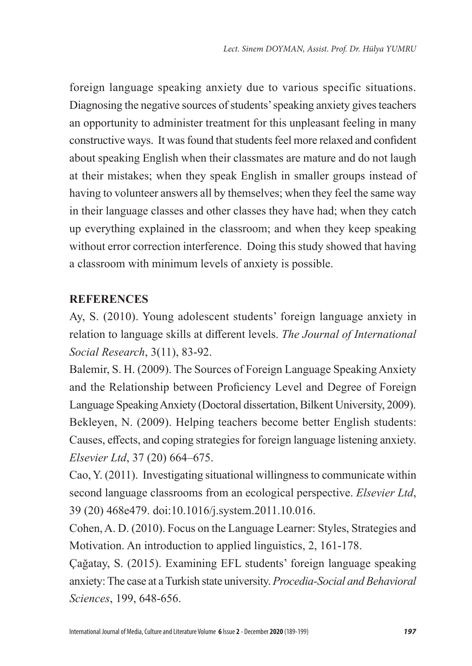foreign language speaking anxiety due to various specific situations. Diagnosing the negative sources of students' speaking anxiety gives teachers an opportunity to administer treatment for this unpleasant feeling in many constructive ways. It was found that students feel more relaxed and confident about speaking English when their classmates are mature and do not laugh at their mistakes; when they speak English in smaller groups instead of having to volunteer answers all by themselves; when they feel the same way in their language classes and other classes they have had; when they catch up everything explained in the classroom; and when they keep speaking without error correction interference. Doing this study showed that having a classroom with minimum levels of anxiety is possible.

### **REFERENCES**

Ay, S. (2010). Young adolescent students' foreign language anxiety in relation to language skills at different levels. *The Journal of International Social Research*, 3(11), 83-92.

Balemir, S. H. (2009). The Sources of Foreign Language Speaking Anxiety and the Relationship between Proficiency Level and Degree of Foreign Language Speaking Anxiety (Doctoral dissertation, Bilkent University, 2009). Bekleyen, N. (2009). Helping teachers become better English students: Causes, effects, and coping strategies for foreign language listening anxiety. *Elsevier Ltd*, 37 (20) 664–675.

Cao, Y. (2011). Investigating situational willingness to communicate within second language classrooms from an ecological perspective. *Elsevier Ltd*, 39 (20) 468e479. doi:10.1016/j.system.2011.10.016.

Cohen, A. D. (2010). Focus on the Language Learner: Styles, Strategies and Motivation. An introduction to applied linguistics, 2, 161-178.

Çağatay, S. (2015). Examining EFL students' foreign language speaking anxiety: The case at a Turkish state university. *Procedia-Social and Behavioral Sciences*, 199, 648-656.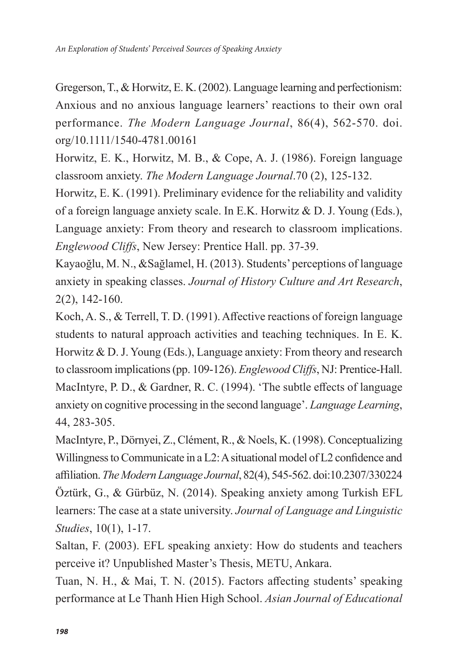Gregerson, T., & Horwitz, E. K. (2002). Language learning and perfectionism: Anxious and no anxious language learners' reactions to their own oral performance. *The Modern Language Journal*, 86(4), 562-570. doi. org/10.1111/1540-4781.00161

Horwitz, E. K., Horwitz, M. B., & Cope, A. J. (1986). Foreign language classroom anxiety. *The Modern Language Journal*.70 (2), 125-132.

Horwitz, E. K. (1991). Preliminary evidence for the reliability and validity of a foreign language anxiety scale. In E.K. Horwitz & D. J. Young (Eds.), Language anxiety: From theory and research to classroom implications. *Englewood Cliffs*, New Jersey: Prentice Hall. pp. 37-39.

Kayaoğlu, M. N., &Sağlamel, H. (2013). Students' perceptions of language anxiety in speaking classes. *Journal of History Culture and Art Research*, 2(2), 142-160.

Koch, A. S., & Terrell, T. D. (1991). Affective reactions of foreign language students to natural approach activities and teaching techniques. In E. K. Horwitz & D. J. Young (Eds.), Language anxiety: From theory and research to classroom implications (pp. 109-126). *Englewood Cliffs*, NJ: Prentice-Hall. MacIntyre, P. D., & Gardner, R. C. (1994). 'The subtle effects of language anxiety on cognitive processing in the second language'. *Language Learning*, 44, 283-305.

MacIntyre, P., Dörnyei, Z., Clément, R., & Noels, K. (1998). Conceptualizing Willingness to Communicate in a L2: A situational model of L2 confidence and affiliation. *The Modern Language Journal*, 82(4), 545-562. doi:10.2307/330224 Öztürk, G., & Gürbüz, N. (2014). Speaking anxiety among Turkish EFL learners: The case at a state university. *Journal of Language and Linguistic Studies*, 10(1), 1-17.

Saltan, F. (2003). EFL speaking anxiety: How do students and teachers perceive it? Unpublished Master's Thesis, METU, Ankara.

Tuan, N. H., & Mai, T. N. (2015). Factors affecting students' speaking performance at Le Thanh Hien High School. *Asian Journal of Educational*